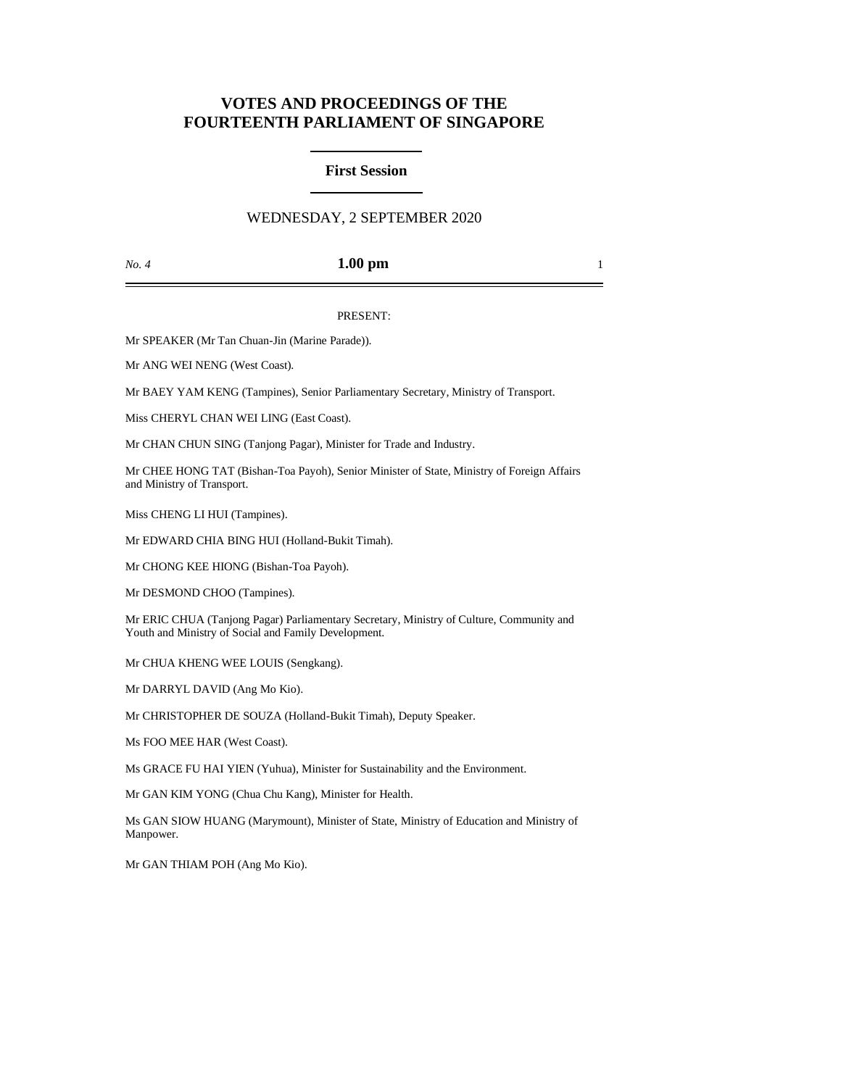# **VOTES AND PROCEEDINGS OF THE FOURTEENTH PARLIAMENT OF SINGAPORE**

## **First Session**

# WEDNESDAY, 2 SEPTEMBER 2020

#### *No. 4* **1.00 pm** 1

#### PRESENT:

Mr SPEAKER (Mr Tan Chuan-Jin (Marine Parade)).

Mr ANG WEI NENG (West Coast).

Mr BAEY YAM KENG (Tampines), Senior Parliamentary Secretary, Ministry of Transport.

Miss CHERYL CHAN WEI LING (East Coast).

Mr CHAN CHUN SING (Tanjong Pagar), Minister for Trade and Industry.

Mr CHEE HONG TAT (Bishan-Toa Payoh), Senior Minister of State, Ministry of Foreign Affairs and Ministry of Transport.

Miss CHENG LI HUI (Tampines).

Mr EDWARD CHIA BING HUI (Holland-Bukit Timah).

Mr CHONG KEE HIONG (Bishan-Toa Payoh).

Mr DESMOND CHOO (Tampines).

Mr ERIC CHUA (Tanjong Pagar) Parliamentary Secretary, Ministry of Culture, Community and Youth and Ministry of Social and Family Development.

Mr CHUA KHENG WEE LOUIS (Sengkang).

Mr DARRYL DAVID (Ang Mo Kio).

Mr CHRISTOPHER DE SOUZA (Holland-Bukit Timah), Deputy Speaker.

Ms FOO MEE HAR (West Coast).

Ms GRACE FU HAI YIEN (Yuhua), Minister for Sustainability and the Environment.

Mr GAN KIM YONG (Chua Chu Kang), Minister for Health.

Ms GAN SIOW HUANG (Marymount), Minister of State, Ministry of Education and Ministry of Manpower.

Mr GAN THIAM POH (Ang Mo Kio).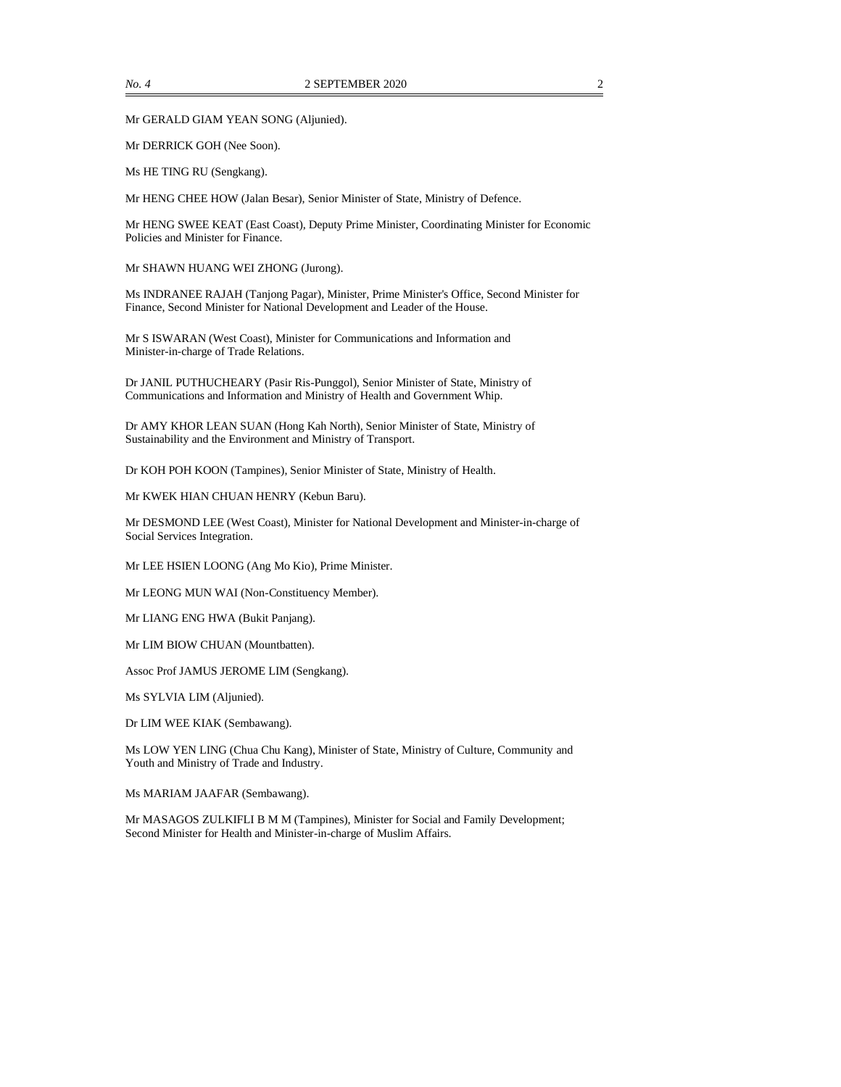Mr GERALD GIAM YEAN SONG (Aljunied).

Mr DERRICK GOH (Nee Soon).

Ms HE TING RU (Sengkang).

Mr HENG CHEE HOW (Jalan Besar), Senior Minister of State, Ministry of Defence.

Mr HENG SWEE KEAT (East Coast), Deputy Prime Minister, Coordinating Minister for Economic Policies and Minister for Finance.

Mr SHAWN HUANG WEI ZHONG (Jurong).

Ms INDRANEE RAJAH (Tanjong Pagar), Minister, Prime Minister's Office, Second Minister for Finance, Second Minister for National Development and Leader of the House.

Mr S ISWARAN (West Coast), Minister for Communications and Information and Minister-in-charge of Trade Relations.

Dr JANIL PUTHUCHEARY (Pasir Ris-Punggol), Senior Minister of State, Ministry of Communications and Information and Ministry of Health and Government Whip.

Dr AMY KHOR LEAN SUAN (Hong Kah North), Senior Minister of State, Ministry of Sustainability and the Environment and Ministry of Transport.

Dr KOH POH KOON (Tampines), Senior Minister of State, Ministry of Health.

Mr KWEK HIAN CHUAN HENRY (Kebun Baru).

Mr DESMOND LEE (West Coast), Minister for National Development and Minister-in-charge of Social Services Integration.

Mr LEE HSIEN LOONG (Ang Mo Kio), Prime Minister.

Mr LEONG MUN WAI (Non-Constituency Member).

Mr LIANG ENG HWA (Bukit Panjang).

Mr LIM BIOW CHUAN (Mountbatten).

Assoc Prof JAMUS JEROME LIM (Sengkang).

Ms SYLVIA LIM (Aljunied).

Dr LIM WEE KIAK (Sembawang).

Ms LOW YEN LING (Chua Chu Kang), Minister of State, Ministry of Culture, Community and Youth and Ministry of Trade and Industry.

Ms MARIAM JAAFAR (Sembawang).

Mr MASAGOS ZULKIFLI B M M (Tampines), Minister for Social and Family Development; Second Minister for Health and Minister-in-charge of Muslim Affairs.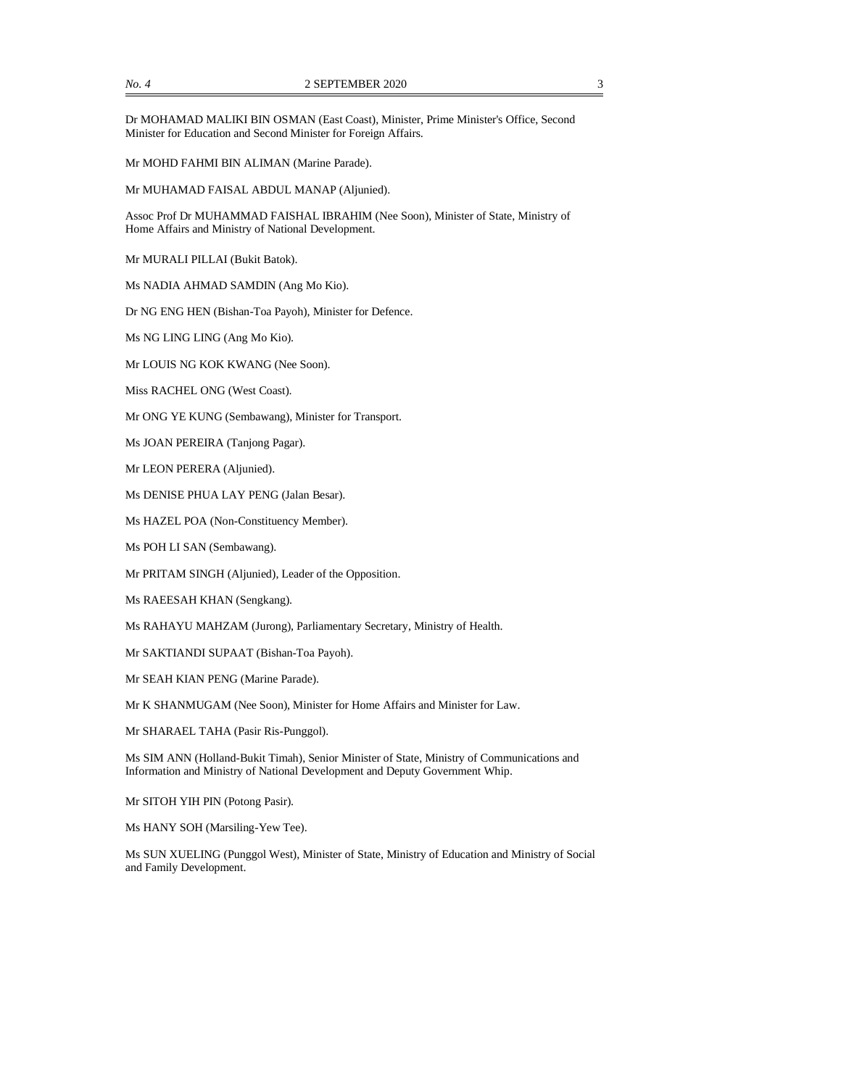Dr MOHAMAD MALIKI BIN OSMAN (East Coast), Minister, Prime Minister's Office, Second Minister for Education and Second Minister for Foreign Affairs.

Mr MOHD FAHMI BIN ALIMAN (Marine Parade).

Mr MUHAMAD FAISAL ABDUL MANAP (Aljunied).

Assoc Prof Dr MUHAMMAD FAISHAL IBRAHIM (Nee Soon), Minister of State, Ministry of Home Affairs and Ministry of National Development.

Mr MURALI PILLAI (Bukit Batok).

Ms NADIA AHMAD SAMDIN (Ang Mo Kio).

Dr NG ENG HEN (Bishan-Toa Payoh), Minister for Defence.

Ms NG LING LING (Ang Mo Kio).

Mr LOUIS NG KOK KWANG (Nee Soon).

Miss RACHEL ONG (West Coast).

Mr ONG YE KUNG (Sembawang), Minister for Transport.

Ms JOAN PEREIRA (Tanjong Pagar).

Mr LEON PERERA (Aljunied).

Ms DENISE PHUA LAY PENG (Jalan Besar).

Ms HAZEL POA (Non-Constituency Member).

Ms POH LI SAN (Sembawang).

Mr PRITAM SINGH (Aljunied), Leader of the Opposition.

Ms RAEESAH KHAN (Sengkang).

Ms RAHAYU MAHZAM (Jurong), Parliamentary Secretary, Ministry of Health.

Mr SAKTIANDI SUPAAT (Bishan-Toa Payoh).

Mr SEAH KIAN PENG (Marine Parade).

Mr K SHANMUGAM (Nee Soon), Minister for Home Affairs and Minister for Law.

Mr SHARAEL TAHA (Pasir Ris-Punggol).

Ms SIM ANN (Holland-Bukit Timah), Senior Minister of State, Ministry of Communications and Information and Ministry of National Development and Deputy Government Whip.

Mr SITOH YIH PIN (Potong Pasir).

Ms HANY SOH (Marsiling-Yew Tee).

Ms SUN XUELING (Punggol West), Minister of State, Ministry of Education and Ministry of Social and Family Development.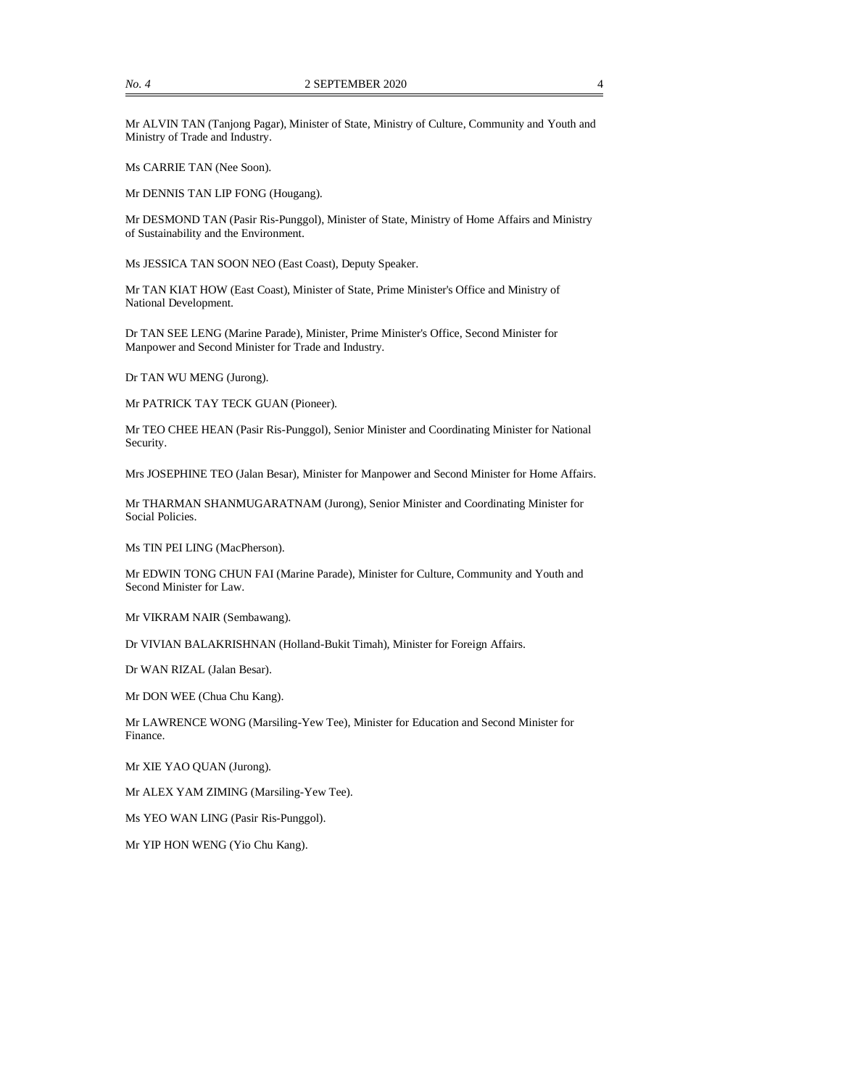Mr ALVIN TAN (Tanjong Pagar), Minister of State, Ministry of Culture, Community and Youth and Ministry of Trade and Industry.

Ms CARRIE TAN (Nee Soon).

Mr DENNIS TAN LIP FONG (Hougang).

Mr DESMOND TAN (Pasir Ris-Punggol), Minister of State, Ministry of Home Affairs and Ministry of Sustainability and the Environment.

Ms JESSICA TAN SOON NEO (East Coast), Deputy Speaker.

Mr TAN KIAT HOW (East Coast), Minister of State, Prime Minister's Office and Ministry of National Development.

Dr TAN SEE LENG (Marine Parade), Minister, Prime Minister's Office, Second Minister for Manpower and Second Minister for Trade and Industry.

Dr TAN WU MENG (Jurong).

Mr PATRICK TAY TECK GUAN (Pioneer).

Mr TEO CHEE HEAN (Pasir Ris-Punggol), Senior Minister and Coordinating Minister for National Security.

Mrs JOSEPHINE TEO (Jalan Besar), Minister for Manpower and Second Minister for Home Affairs.

Mr THARMAN SHANMUGARATNAM (Jurong), Senior Minister and Coordinating Minister for Social Policies.

Ms TIN PEI LING (MacPherson).

Mr EDWIN TONG CHUN FAI (Marine Parade), Minister for Culture, Community and Youth and Second Minister for Law.

Mr VIKRAM NAIR (Sembawang).

Dr VIVIAN BALAKRISHNAN (Holland-Bukit Timah), Minister for Foreign Affairs.

Dr WAN RIZAL (Jalan Besar).

Mr DON WEE (Chua Chu Kang).

Mr LAWRENCE WONG (Marsiling-Yew Tee), Minister for Education and Second Minister for Finance.

Mr XIE YAO QUAN (Jurong).

Mr ALEX YAM ZIMING (Marsiling-Yew Tee).

Ms YEO WAN LING (Pasir Ris-Punggol).

Mr YIP HON WENG (Yio Chu Kang).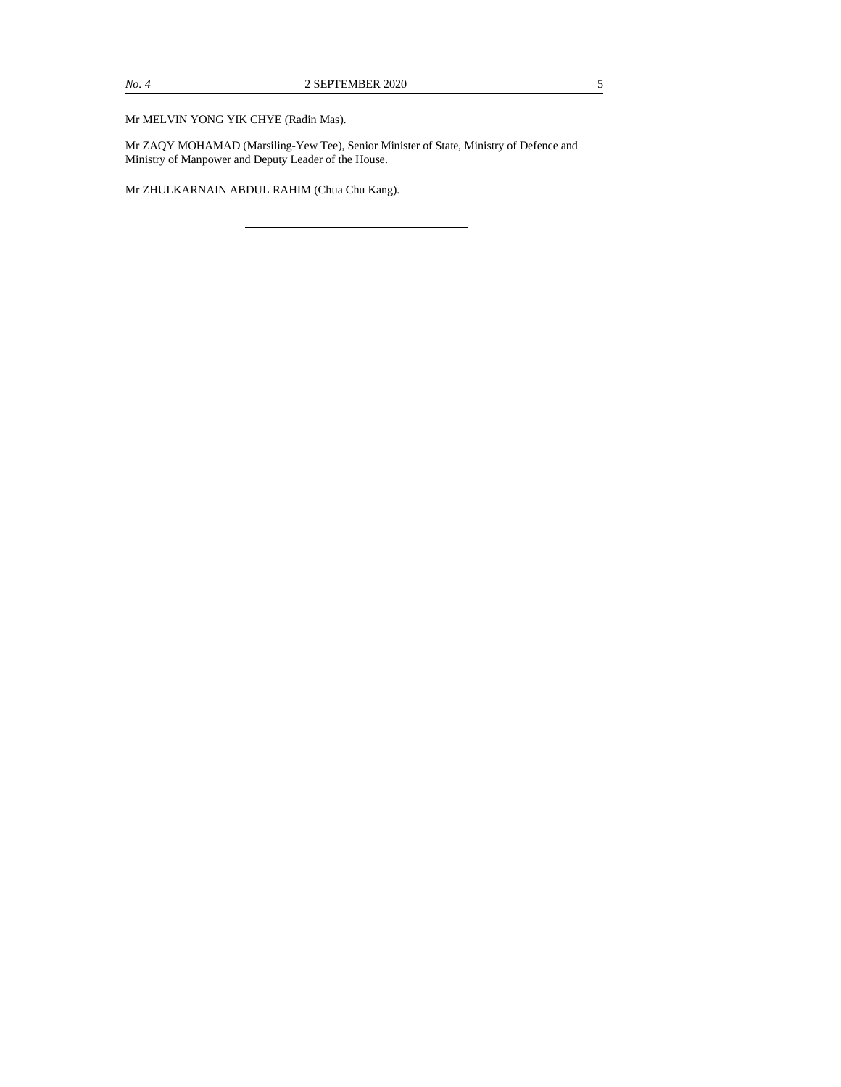Mr MELVIN YONG YIK CHYE (Radin Mas).

Mr ZAQY MOHAMAD (Marsiling-Yew Tee), Senior Minister of State, Ministry of Defence and Ministry of Manpower and Deputy Leader of the House.

Mr ZHULKARNAIN ABDUL RAHIM (Chua Chu Kang).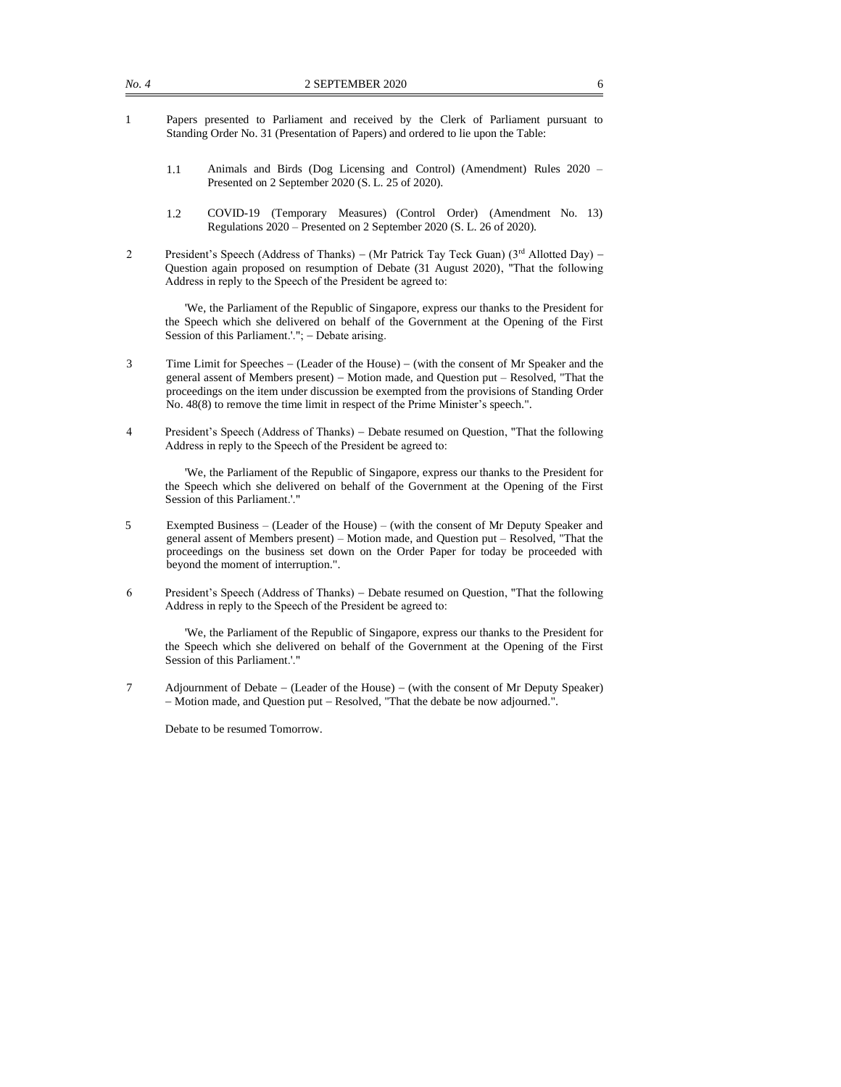- 1 Papers presented to Parliament and received by the Clerk of Parliament pursuant to Standing Order No. 31 (Presentation of Papers) and ordered to lie upon the Table:
	- 1.1 Animals and Birds (Dog Licensing and Control) (Amendment) Rules 2020 Presented on 2 September 2020 (S. L. 25 of 2020).
	- 1.2 COVID-19 (Temporary Measures) (Control Order) (Amendment No. 13) Regulations 2020 – Presented on 2 September 2020 (S. L. 26 of 2020).
- 2 President's Speech (Address of Thanks) (Mr Patrick Tay Teck Guan) (3<sup>rd</sup> Allotted Day) Question again proposed on resumption of Debate (31 August 2020), "That the following Address in reply to the Speech of the President be agreed to:

'We, the Parliament of the Republic of Singapore, express our thanks to the President for the Speech which she delivered on behalf of the Government at the Opening of the First Session of this Parliament.'."; – Debate arising.

- 3 Time Limit for Speeches − (Leader of the House) − (with the consent of Mr Speaker and the general assent of Members present) − Motion made, and Question put – Resolved, "That the proceedings on the item under discussion be exempted from the provisions of Standing Order No. 48(8) to remove the time limit in respect of the Prime Minister's speech.".
- 4 President's Speech (Address of Thanks) − Debate resumed on Question, "That the following Address in reply to the Speech of the President be agreed to:

'We, the Parliament of the Republic of Singapore, express our thanks to the President for the Speech which she delivered on behalf of the Government at the Opening of the First Session of this Parliament.'."

- 5 Exempted Business (Leader of the House) (with the consent of Mr Deputy Speaker and general assent of Members present) – Motion made, and Question put – Resolved, "That the proceedings on the business set down on the Order Paper for today be proceeded with beyond the moment of interruption.".
- 6 President's Speech (Address of Thanks) − Debate resumed on Question, "That the following Address in reply to the Speech of the President be agreed to:

'We, the Parliament of the Republic of Singapore, express our thanks to the President for the Speech which she delivered on behalf of the Government at the Opening of the First Session of this Parliament.'."

7 Adjournment of Debate − (Leader of the House) − (with the consent of Mr Deputy Speaker) − Motion made, and Question put − Resolved, "That the debate be now adjourned.".

Debate to be resumed Tomorrow.